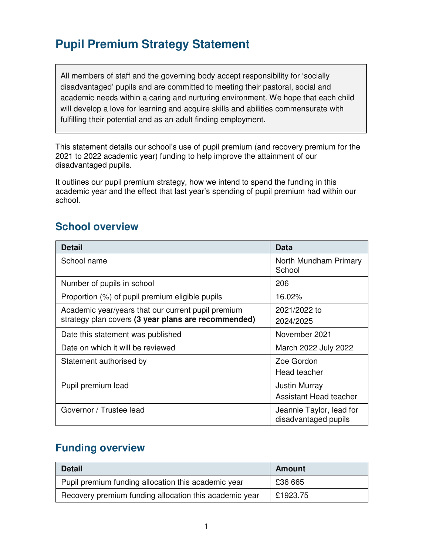## **Pupil Premium Strategy Statement**

All members of staff and the governing body accept responsibility for 'socially disadvantaged' pupils and are committed to meeting their pastoral, social and academic needs within a caring and nurturing environment. We hope that each child will develop a love for learning and acquire skills and abilities commensurate with fulfilling their potential and as an adult finding employment.

This statement details our school's use of pupil premium (and recovery premium for the 2021 to 2022 academic year) funding to help improve the attainment of our disadvantaged pupils.

It outlines our pupil premium strategy, how we intend to spend the funding in this academic year and the effect that last year's spending of pupil premium had within our school.

#### **School overview**

| <b>Detail</b>                                                                                             | Data                                             |
|-----------------------------------------------------------------------------------------------------------|--------------------------------------------------|
| School name                                                                                               | North Mundham Primary<br>School                  |
| Number of pupils in school                                                                                | 206                                              |
| Proportion (%) of pupil premium eligible pupils                                                           | 16.02%                                           |
| Academic year/years that our current pupil premium<br>strategy plan covers (3 year plans are recommended) | 2021/2022 to<br>2024/2025                        |
| Date this statement was published                                                                         | November 2021                                    |
| Date on which it will be reviewed                                                                         | March 2022 July 2022                             |
| Statement authorised by                                                                                   | Zoe Gordon<br>Head teacher                       |
| Pupil premium lead                                                                                        | <b>Justin Murray</b><br>Assistant Head teacher   |
| Governor / Trustee lead                                                                                   | Jeannie Taylor, lead for<br>disadvantaged pupils |

#### **Funding overview**

| <b>Detail</b>                                          | <b>Amount</b> |
|--------------------------------------------------------|---------------|
| Pupil premium funding allocation this academic year    | £36 665       |
| Recovery premium funding allocation this academic year | £1923.75      |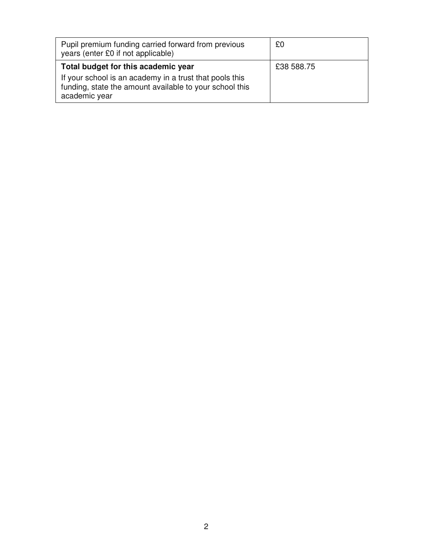| Pupil premium funding carried forward from previous<br>years (enter £0 if not applicable)                                                                                  | £0         |
|----------------------------------------------------------------------------------------------------------------------------------------------------------------------------|------------|
| Total budget for this academic year<br>If your school is an academy in a trust that pools this<br>funding, state the amount available to your school this<br>academic year | £38 588.75 |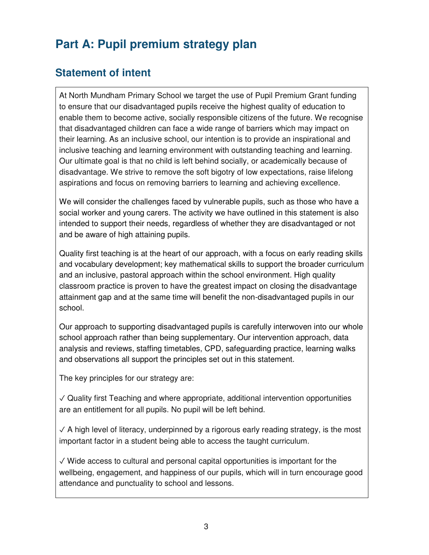# **Part A: Pupil premium strategy plan**

## **Statement of intent**

At North Mundham Primary School we target the use of Pupil Premium Grant funding to ensure that our disadvantaged pupils receive the highest quality of education to enable them to become active, socially responsible citizens of the future. We recognise that disadvantaged children can face a wide range of barriers which may impact on their learning. As an inclusive school, our intention is to provide an inspirational and inclusive teaching and learning environment with outstanding teaching and learning. Our ultimate goal is that no child is left behind socially, or academically because of disadvantage. We strive to remove the soft bigotry of low expectations, raise lifelong aspirations and focus on removing barriers to learning and achieving excellence.

We will consider the challenges faced by vulnerable pupils, such as those who have a social worker and young carers. The activity we have outlined in this statement is also intended to support their needs, regardless of whether they are disadvantaged or not and be aware of high attaining pupils.

Quality first teaching is at the heart of our approach, with a focus on early reading skills and vocabulary development; key mathematical skills to support the broader curriculum and an inclusive, pastoral approach within the school environment. High quality classroom practice is proven to have the greatest impact on closing the disadvantage attainment gap and at the same time will benefit the non-disadvantaged pupils in our school.

Our approach to supporting disadvantaged pupils is carefully interwoven into our whole school approach rather than being supplementary. Our intervention approach, data analysis and reviews, staffing timetables, CPD, safeguarding practice, learning walks and observations all support the principles set out in this statement.

The key principles for our strategy are:

✓ Quality first Teaching and where appropriate, additional intervention opportunities are an entitlement for all pupils. No pupil will be left behind.

 $\sqrt{ }$  A high level of literacy, underpinned by a rigorous early reading strategy, is the most important factor in a student being able to access the taught curriculum.

 $\sqrt{2}$  Wide access to cultural and personal capital opportunities is important for the wellbeing, engagement, and happiness of our pupils, which will in turn encourage good attendance and punctuality to school and lessons.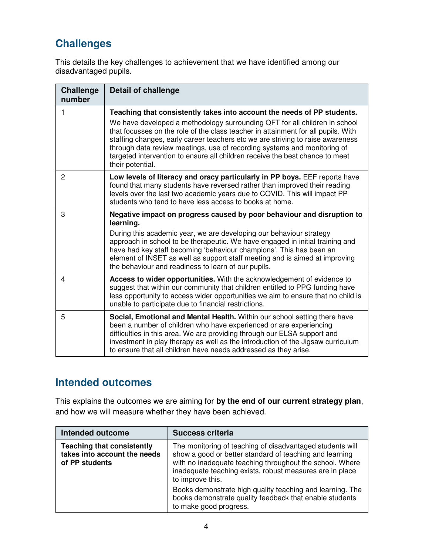## **Challenges**

This details the key challenges to achievement that we have identified among our disadvantaged pupils.

| <b>Challenge</b><br>number | <b>Detail of challenge</b>                                                                                                                                                                                                                                                                                                                                                                                                                                                                                   |
|----------------------------|--------------------------------------------------------------------------------------------------------------------------------------------------------------------------------------------------------------------------------------------------------------------------------------------------------------------------------------------------------------------------------------------------------------------------------------------------------------------------------------------------------------|
| 1                          | Teaching that consistently takes into account the needs of PP students.<br>We have developed a methodology surrounding QFT for all children in school<br>that focusses on the role of the class teacher in attainment for all pupils. With<br>staffing changes, early career teachers etc we are striving to raise awareness<br>through data review meetings, use of recording systems and monitoring of<br>targeted intervention to ensure all children receive the best chance to meet<br>their potential. |
| $\overline{2}$             | Low levels of literacy and oracy particularly in PP boys. EEF reports have<br>found that many students have reversed rather than improved their reading<br>levels over the last two academic years due to COVID. This will impact PP<br>students who tend to have less access to books at home.                                                                                                                                                                                                              |
| 3                          | Negative impact on progress caused by poor behaviour and disruption to<br>learning.<br>During this academic year, we are developing our behaviour strategy<br>approach in school to be therapeutic. We have engaged in initial training and<br>have had key staff becoming 'behaviour champions'. This has been an<br>element of INSET as well as support staff meeting and is aimed at improving<br>the behaviour and readiness to learn of our pupils.                                                     |
| 4                          | Access to wider opportunities. With the acknowledgement of evidence to<br>suggest that within our community that children entitled to PPG funding have<br>less opportunity to access wider opportunities we aim to ensure that no child is<br>unable to participate due to financial restrictions.                                                                                                                                                                                                           |
| 5                          | Social, Emotional and Mental Health. Within our school setting there have<br>been a number of children who have experienced or are experiencing<br>difficulties in this area. We are providing through our ELSA support and<br>investment in play therapy as well as the introduction of the Jigsaw curriculum<br>to ensure that all children have needs addressed as they arise.                                                                                                                            |

#### **Intended outcomes**

This explains the outcomes we are aiming for **by the end of our current strategy plan**, and how we will measure whether they have been achieved.

| <b>Intended outcome</b>                                                             | <b>Success criteria</b>                                                                                                                                                                                                                                          |
|-------------------------------------------------------------------------------------|------------------------------------------------------------------------------------------------------------------------------------------------------------------------------------------------------------------------------------------------------------------|
| <b>Teaching that consistently</b><br>takes into account the needs<br>of PP students | The monitoring of teaching of disadvantaged students will<br>show a good or better standard of teaching and learning<br>with no inadequate teaching throughout the school. Where<br>inadequate teaching exists, robust measures are in place<br>to improve this. |
|                                                                                     | Books demonstrate high quality teaching and learning. The<br>books demonstrate quality feedback that enable students<br>to make good progress.                                                                                                                   |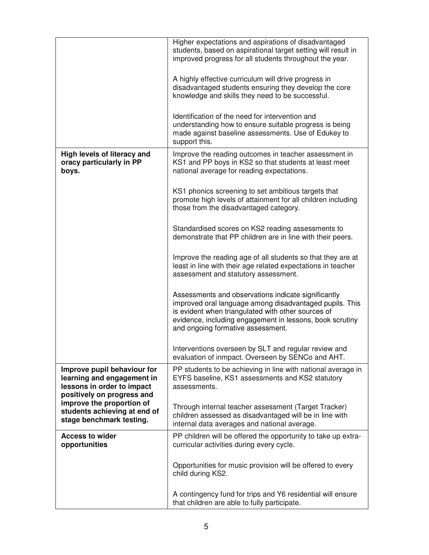|                                                                                                                       | Higher expectations and aspirations of disadvantaged<br>students, based on aspirational target setting will result in<br>improved progress for all students throughout the year.                                                                                      |
|-----------------------------------------------------------------------------------------------------------------------|-----------------------------------------------------------------------------------------------------------------------------------------------------------------------------------------------------------------------------------------------------------------------|
|                                                                                                                       | A highly effective curriculum will drive progress in<br>disadvantaged students ensuring they develop the core<br>knowledge and skills they need to be successful.                                                                                                     |
|                                                                                                                       | Identification of the need for intervention and<br>understanding how to ensure suitable progress is being<br>made against baseline assessments. Use of Edukey to<br>support this.                                                                                     |
| High levels of literacy and<br>oracy particularly in PP<br>boys.                                                      | Improve the reading outcomes in teacher assessment in<br>KS1 and PP boys in KS2 so that students at least meet<br>national average for reading expectations.                                                                                                          |
|                                                                                                                       | KS1 phonics screening to set ambitious targets that<br>promote high levels of attainment for all children including<br>those from the disadvantaged category.                                                                                                         |
|                                                                                                                       | Standardised scores on KS2 reading assessments to<br>demonstrate that PP children are in line with their peers.                                                                                                                                                       |
|                                                                                                                       | Improve the reading age of all students so that they are at<br>least in line with their age related expectations in teacher<br>assessment and statutory assessment.                                                                                                   |
|                                                                                                                       | Assessments and observations indicate significantly<br>improved oral language among disadvantaged pupils. This<br>is evident when triangulated with other sources of<br>evidence, including engagement in lessons, book scrutiny<br>and ongoing formative assessment. |
|                                                                                                                       | Interventions overseen by SLT and regular review and<br>evaluation of inmpact. Overseen by SENCo and AHT.                                                                                                                                                             |
| Improve pupil behaviour for<br>learning and engagement in<br>lessons in order to impact<br>positively on progress and | PP students to be achieving in line with national average in<br>EYFS baseline, KS1 assessments and KS2 statutory<br>assessments.                                                                                                                                      |
| improve the proportion of<br>students achieving at end of<br>stage benchmark testing.                                 | Through internal teacher assessment (Target Tracker)<br>children assessed as disadvantaged will be in line with<br>internal data averages and national average.                                                                                                       |
| <b>Access to wider</b><br>opportunities                                                                               | PP children will be offered the opportunity to take up extra-<br>curricular activities during every cycle.                                                                                                                                                            |
|                                                                                                                       | Opportunities for music provision will be offered to every<br>child during KS2.                                                                                                                                                                                       |
|                                                                                                                       | A contingency fund for trips and Y6 residential will ensure<br>that children are able to fully participate.                                                                                                                                                           |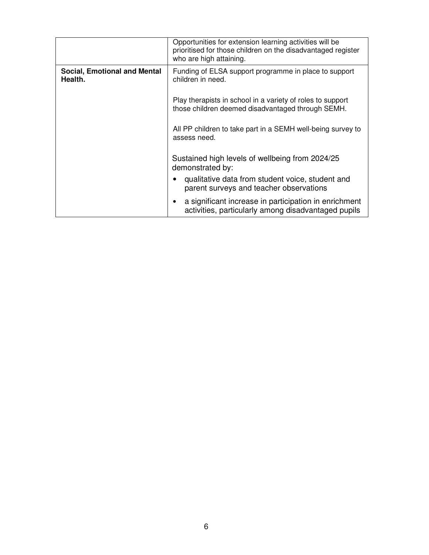|                                                | Opportunities for extension learning activities will be<br>prioritised for those children on the disadvantaged register<br>who are high attaining. |  |
|------------------------------------------------|----------------------------------------------------------------------------------------------------------------------------------------------------|--|
| <b>Social, Emotional and Mental</b><br>Health. | Funding of ELSA support programme in place to support<br>children in need.                                                                         |  |
|                                                | Play therapists in school in a variety of roles to support<br>those children deemed disadvantaged through SEMH.                                    |  |
|                                                | All PP children to take part in a SEMH well-being survey to<br>assess need.                                                                        |  |
|                                                | Sustained high levels of wellbeing from 2024/25<br>demonstrated by:                                                                                |  |
|                                                | qualitative data from student voice, student and<br>parent surveys and teacher observations                                                        |  |
|                                                | a significant increase in participation in enrichment<br>$\bullet$<br>activities, particularly among disadvantaged pupils                          |  |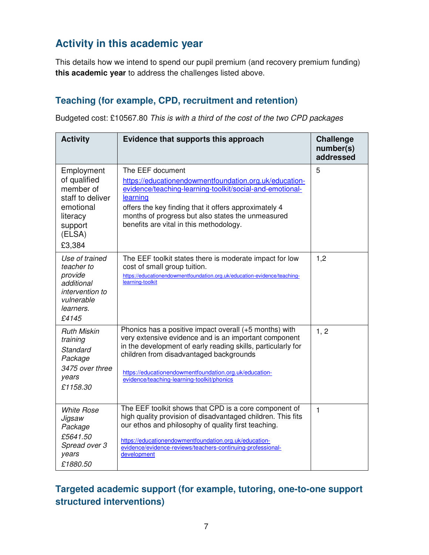## **Activity in this academic year**

This details how we intend to spend our pupil premium (and recovery premium funding) **this academic year** to address the challenges listed above.

#### **Teaching (for example, CPD, recruitment and retention)**

Budgeted cost: £10567.80 *This is with a third of the cost of the two CPD packages*

| <b>Activity</b>                                                                                                     | Evidence that supports this approach                                                                                                                                                                                                                                                                                               | <b>Challenge</b><br>number(s)<br>addressed |
|---------------------------------------------------------------------------------------------------------------------|------------------------------------------------------------------------------------------------------------------------------------------------------------------------------------------------------------------------------------------------------------------------------------------------------------------------------------|--------------------------------------------|
| Employment<br>of qualified<br>member of<br>staff to deliver<br>emotional<br>literacy<br>support<br>(ELSA)<br>£3,384 | The EEF document<br>https://educationendowmentfoundation.org.uk/education-<br>evidence/teaching-learning-toolkit/social-and-emotional-<br>learning<br>offers the key finding that it offers approximately 4<br>months of progress but also states the unmeasured<br>benefits are vital in this methodology.                        | 5                                          |
| Use of trained<br>teacher to<br>provide<br>additional<br>intervention to<br>vulnerable<br>learners.<br>£4145        | The EEF toolkit states there is moderate impact for low<br>cost of small group tuition.<br>https://educationendowmentfoundation.org.uk/education-evidence/teaching-<br>learning-toolkit                                                                                                                                            | 1,2                                        |
| <b>Ruth Miskin</b><br>training<br><b>Standard</b><br>Package<br>3475 over three<br>years<br>£1158.30                | Phonics has a positive impact overall (+5 months) with<br>very extensive evidence and is an important component<br>in the development of early reading skills, particularly for<br>children from disadvantaged backgrounds<br>https://educationendowmentfoundation.org.uk/education-<br>evidence/teaching-learning-toolkit/phonics | 1, 2                                       |
| <b>White Rose</b><br>Jigsaw<br>Package<br>£5641.50<br>Spread over 3<br>years<br>£1880.50                            | The EEF toolkit shows that CPD is a core component of<br>high quality provision of disadvantaged children. This fits<br>our ethos and philosophy of quality first teaching.<br>https://educationendowmentfoundation.org.uk/education-<br>evidence/evidence-reviews/teachers-continuing-professional-<br>development                | $\mathbf{1}$                               |

#### **Targeted academic support (for example, tutoring, one-to-one support structured interventions)**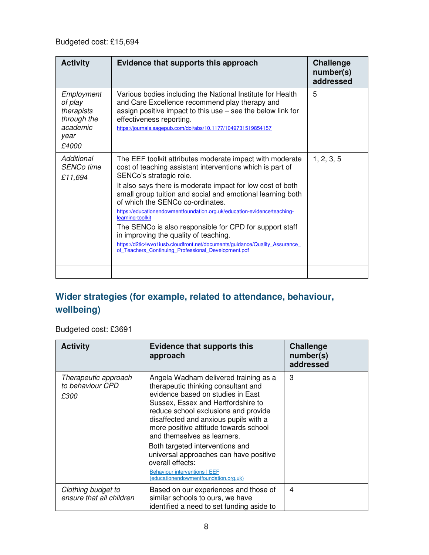| <b>Activity</b>                                                                 | Evidence that supports this approach                                                                                                                                                                                                                                                                                                                                                                                                                                                                                                                                                                                                                          | <b>Challenge</b><br>number(s)<br>addressed |
|---------------------------------------------------------------------------------|---------------------------------------------------------------------------------------------------------------------------------------------------------------------------------------------------------------------------------------------------------------------------------------------------------------------------------------------------------------------------------------------------------------------------------------------------------------------------------------------------------------------------------------------------------------------------------------------------------------------------------------------------------------|--------------------------------------------|
| Employment<br>of play<br>therapists<br>through the<br>academic<br>year<br>£4000 | Various bodies including the National Institute for Health<br>and Care Excellence recommend play therapy and<br>assign positive impact to this use $-$ see the below link for<br>effectiveness reporting.<br>https://journals.sagepub.com/doi/abs/10.1177/1049731519854157                                                                                                                                                                                                                                                                                                                                                                                    | 5                                          |
| Additional<br><b>SENCo time</b><br>£11,694                                      | The EEF toolkit attributes moderate impact with moderate<br>cost of teaching assistant interventions which is part of<br>SENCo's strategic role.<br>It also says there is moderate impact for low cost of both<br>small group tuition and social and emotional learning both<br>of which the SENCo co-ordinates.<br>https://educationendowmentfoundation.org.uk/education-evidence/teaching-<br>learning-toolkit<br>The SENCo is also responsible for CPD for support staff<br>in improving the quality of teaching.<br>https://d2tic4wvo1iusb.cloudfront.net/documents/quidance/Quality Assurance<br><b>Teachers Continuing Professional Development.pdf</b> | 1, 2, 3, 5                                 |
|                                                                                 |                                                                                                                                                                                                                                                                                                                                                                                                                                                                                                                                                                                                                                                               |                                            |

### **Wider strategies (for example, related to attendance, behaviour, wellbeing)**

Budgeted cost: £3691

| <b>Activity</b>                                  | <b>Evidence that supports this</b><br>approach                                                                                                                                                                                                                                                                                                                                                                                                                                                     | <b>Challenge</b><br>number(s)<br>addressed |
|--------------------------------------------------|----------------------------------------------------------------------------------------------------------------------------------------------------------------------------------------------------------------------------------------------------------------------------------------------------------------------------------------------------------------------------------------------------------------------------------------------------------------------------------------------------|--------------------------------------------|
| Therapeutic approach<br>to behaviour CPD<br>£300 | Angela Wadham delivered training as a<br>therapeutic thinking consultant and<br>evidence based on studies in East<br>Sussex, Essex and Hertfordshire to<br>reduce school exclusions and provide<br>disaffected and anxious pupils with a<br>more positive attitude towards school<br>and themselves as learners.<br>Both targeted interventions and<br>universal approaches can have positive<br>overall effects:<br><b>Behaviour interventions   EEF</b><br>(educationendowmentfoundation.org.uk) | 3                                          |
| Clothing budget to<br>ensure that all children   | Based on our experiences and those of<br>similar schools to ours, we have<br>identified a need to set funding aside to                                                                                                                                                                                                                                                                                                                                                                             | 4                                          |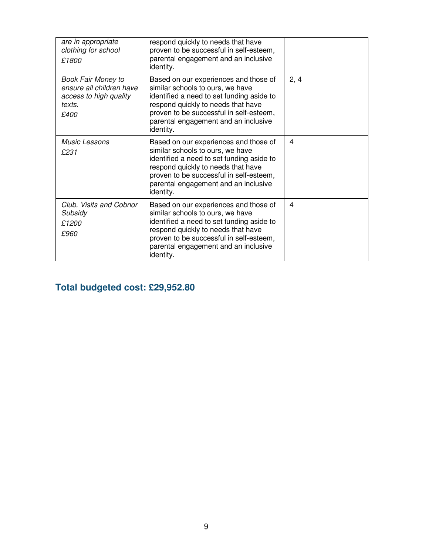| are in appropriate<br>clothing for school<br>£1800                                                | respond quickly to needs that have<br>proven to be successful in self-esteem,<br>parental engagement and an inclusive<br>identity.                                                                                                                           |      |
|---------------------------------------------------------------------------------------------------|--------------------------------------------------------------------------------------------------------------------------------------------------------------------------------------------------------------------------------------------------------------|------|
| <b>Book Fair Money to</b><br>ensure all children have<br>access to high quality<br>texts.<br>£400 | Based on our experiences and those of<br>similar schools to ours, we have<br>identified a need to set funding aside to<br>respond quickly to needs that have<br>proven to be successful in self-esteem,<br>parental engagement and an inclusive<br>identity. | 2, 4 |
| <i>Music Lessons</i><br>£231                                                                      | Based on our experiences and those of<br>similar schools to ours, we have<br>identified a need to set funding aside to<br>respond quickly to needs that have<br>proven to be successful in self-esteem,<br>parental engagement and an inclusive<br>identity. | 4    |
| Club, Visits and Cobnor<br>Subsidy<br>£1200<br>£960                                               | Based on our experiences and those of<br>similar schools to ours, we have<br>identified a need to set funding aside to<br>respond quickly to needs that have<br>proven to be successful in self-esteem,<br>parental engagement and an inclusive<br>identity. | 4    |

### **Total budgeted cost: £29,952.80**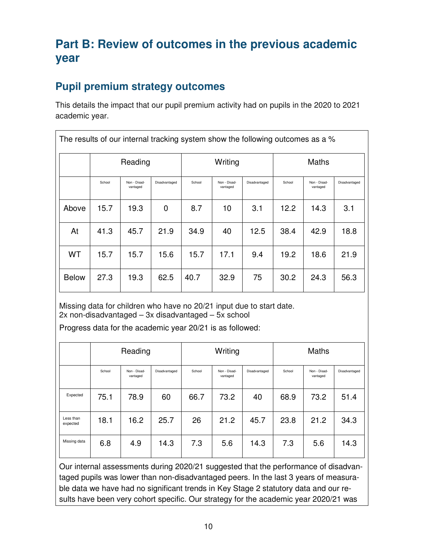## **Part B: Review of outcomes in the previous academic year**

### **Pupil premium strategy outcomes**

This details the impact that our pupil premium activity had on pupils in the 2020 to 2021 academic year.

| The results of our internal tracking system show the following outcomes as a % |         |                                                                                                  |      |         |      |        |                          |               |      |
|--------------------------------------------------------------------------------|---------|--------------------------------------------------------------------------------------------------|------|---------|------|--------|--------------------------|---------------|------|
|                                                                                | Reading |                                                                                                  |      | Writing |      |        | <b>Maths</b>             |               |      |
|                                                                                | School  | Non - Disad-<br>Disadvantaged<br>School<br>Non - Disad-<br>Disadvantaged<br>vantaged<br>vantaged |      |         |      | School | Non - Disad-<br>vantaged | Disadvantaged |      |
| Above                                                                          | 15.7    | 19.3                                                                                             | 0    | 8.7     | 10   | 3.1    | 12.2                     | 14.3          | 3.1  |
| At                                                                             | 41.3    | 45.7                                                                                             | 21.9 | 34.9    | 40   | 12.5   | 38.4                     | 42.9          | 18.8 |
| WT                                                                             | 15.7    | 15.7                                                                                             | 15.6 | 15.7    | 17.1 | 9.4    | 19.2                     | 18.6          | 21.9 |
| <b>Below</b>                                                                   | 27.3    | 19.3                                                                                             | 62.5 | 40.7    | 32.9 | 75     | 30.2                     | 24.3          | 56.3 |

Missing data for children who have no 20/21 input due to start date. 2x non-disadvantaged – 3x disadvantaged – 5x school

Progress data for the academic year 20/21 is as followed:

|                       | Reading |                          |               | Writing |                          |               | <b>Maths</b> |                          |               |
|-----------------------|---------|--------------------------|---------------|---------|--------------------------|---------------|--------------|--------------------------|---------------|
|                       | School  | Non - Disad-<br>vantaged | Disadvantaged | School  | Non - Disad-<br>vantaged | Disadvantaged | School       | Non - Disad-<br>vantaged | Disadvantaged |
| Expected              | 75.1    | 78.9                     | 60            | 66.7    | 73.2                     | 40            | 68.9         | 73.2                     | 51.4          |
| Less than<br>expected | 18.1    | 16.2                     | 25.7          | 26      | 21.2                     | 45.7          | 23.8         | 21.2                     | 34.3          |
| Missing data          | 6.8     | 4.9                      | 14.3          | 7.3     | 5.6                      | 14.3          | 7.3          | 5.6                      | 14.3          |

Our internal assessments during 2020/21 suggested that the performance of disadvantaged pupils was lower than non-disadvantaged peers. In the last 3 years of measurable data we have had no significant trends in Key Stage 2 statutory data and our results have been very cohort specific. Our strategy for the academic year 2020/21 was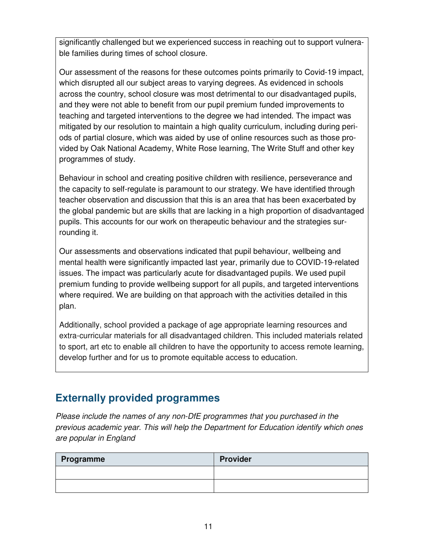significantly challenged but we experienced success in reaching out to support vulnerable families during times of school closure.

Our assessment of the reasons for these outcomes points primarily to Covid-19 impact, which disrupted all our subject areas to varying degrees. As evidenced in schools across the country, school closure was most detrimental to our disadvantaged pupils, and they were not able to benefit from our pupil premium funded improvements to teaching and targeted interventions to the degree we had intended. The impact was mitigated by our resolution to maintain a high quality curriculum, including during periods of partial closure, which was aided by use of online resources such as those provided by Oak National Academy, White Rose learning, The Write Stuff and other key programmes of study.

Behaviour in school and creating positive children with resilience, perseverance and the capacity to self-regulate is paramount to our strategy. We have identified through teacher observation and discussion that this is an area that has been exacerbated by the global pandemic but are skills that are lacking in a high proportion of disadvantaged pupils. This accounts for our work on therapeutic behaviour and the strategies surrounding it.

Our assessments and observations indicated that pupil behaviour, wellbeing and mental health were significantly impacted last year, primarily due to COVID-19-related issues. The impact was particularly acute for disadvantaged pupils. We used pupil premium funding to provide wellbeing support for all pupils, and targeted interventions where required. We are building on that approach with the activities detailed in this plan.

Additionally, school provided a package of age appropriate learning resources and extra-curricular materials for all disadvantaged children. This included materials related to sport, art etc to enable all children to have the opportunity to access remote learning, develop further and for us to promote equitable access to education.

#### **Externally provided programmes**

*Please include the names of any non-DfE programmes that you purchased in the previous academic year. This will help the Department for Education identify which ones are popular in England* 

| Programme | <b>Provider</b> |
|-----------|-----------------|
|           |                 |
|           |                 |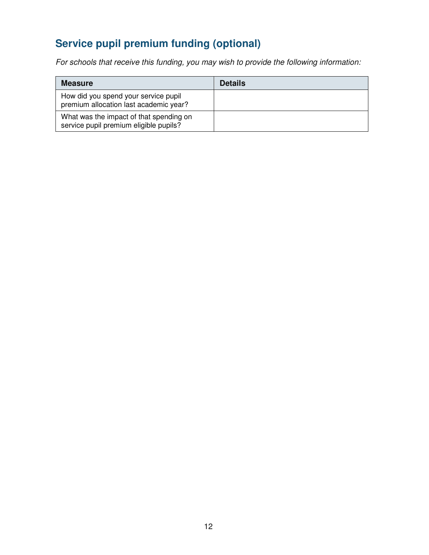# **Service pupil premium funding (optional)**

*For schools that receive this funding, you may wish to provide the following information:* 

| <b>Measure</b>                                                                    | <b>Details</b> |
|-----------------------------------------------------------------------------------|----------------|
| How did you spend your service pupil<br>premium allocation last academic year?    |                |
| What was the impact of that spending on<br>service pupil premium eligible pupils? |                |